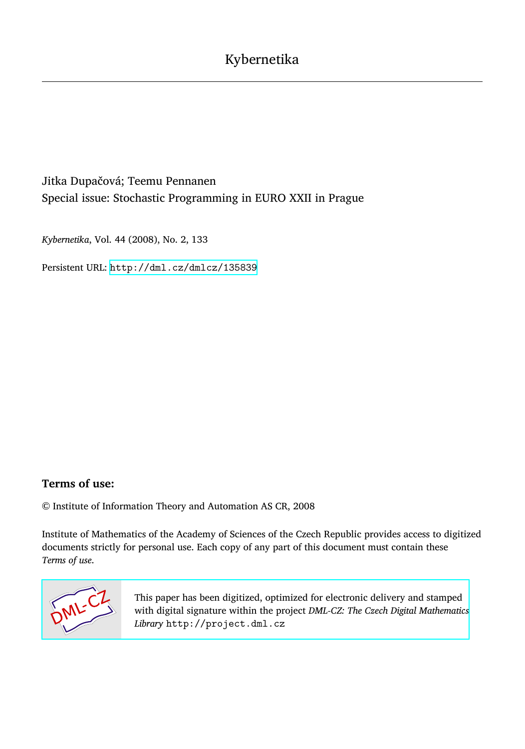## Jitka Dupačová; Teemu Pennanen Special issue: Stochastic Programming in EURO XXII in Prague

*Kybernetika*, Vol. 44 (2008), No. 2, 133

Persistent URL: <http://dml.cz/dmlcz/135839>

## **Terms of use:**

© Institute of Information Theory and Automation AS CR, 2008

Institute of Mathematics of the Academy of Sciences of the Czech Republic provides access to digitized documents strictly for personal use. Each copy of any part of this document must contain these *Terms of use*.



[This paper has been digitized, optimized for electronic delivery and stamped](http://project.dml.cz) with digital signature within the project *DML-CZ: The Czech Digital Mathematics Library* http://project.dml.cz